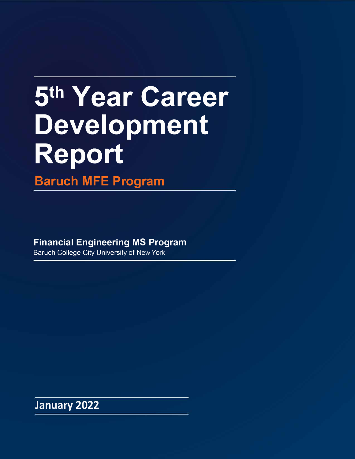# **5th Year Career Development Report**

**Baruch MFE Program** 

**Financial Engineering MS Program** 

Baruch College City University of New York

**January 2022**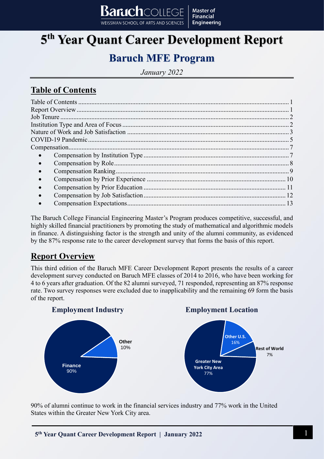## **5 th Year Quant Career Development Report**

**Master of Financial** 

**Engineering** 

 $\mathbf{Bar}$ ich $\mathop{\mathrm{Coh}}\nolimits$ iec

WEISSMAN SCHOOL OF ARTS AND SCIENCES

## **Baruch MFE Program**

*January 2022*

### <span id="page-1-0"></span>**Table of Contents**

The Baruch College Financial Engineering Master's Program produces competitive, successful, and highly skilled financial practitioners by promoting the study of mathematical and algorithmic models in finance. A distinguishing factor is the strength and unity of the alumni community, as evidenced by the 87% response rate to the career development survey that forms the basis of this report.

## <span id="page-1-1"></span>**Report Overview**

This third edition of the Baruch MFE Career Development Report presents the results of a career development survey conducted on Baruch MFE classes of 2014 to 2016, who have been working for 4 to 6 years after graduation. Of the 82 alumni surveyed, 71 responded, representing an 87% response rate. Two survey responses were excluded due to inapplicability and the remaining 69 form the basis of the report.



90% of alumni continue to work in the financial services industry and 77% work in the United States within the Greater New York City area.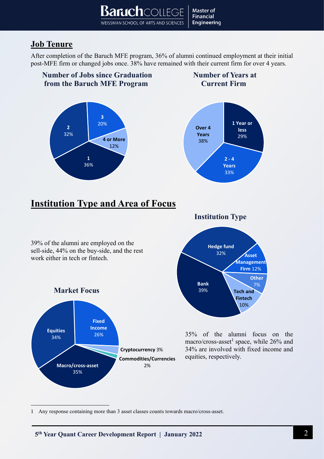WEISSMAN SCHOOL OF ARTS AND SCIENCES

**Baruch**courge

## <span id="page-2-0"></span>**Job Tenure**

After completion of the Baruch MFE program, 36% of alumni continued employment at their initial post-MFE firm or changed jobs once. 38% have remained with their current firm for over 4 years.

**Master of Financial Engineering** 

<span id="page-2-1"></span>

1 Any response containing more than 3 asset classes counts towards macro/cross-asset.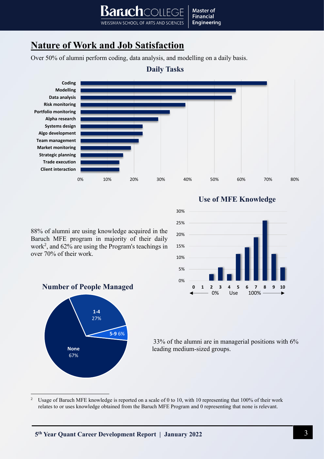## <span id="page-3-0"></span>**Nature of Work and Job Satisfaction**

Over 50% of alumni perform coding, data analysis, and modelling on a daily basis.

WEISSMAN SCHOOL OF ARTS AND SCIENCES



**Master of Financial** 

**Engineering** 

over 70% of their work.





88% of alumni are using knowledge acquired in the Baruch MFE program in majority of their daily work<sup>2</sup> , and 62% are using the Program's teachings in

#### **Number of People Managed**



33% of the alumni are in managerial positions with 6% leading medium-sized groups.

<sup>2</sup> Usage of Baruch MFE knowledge is reported on a scale of 0 to 10, with 10 representing that 100% of their work relates to or uses knowledge obtained from the Baruch MFE Program and 0 representing that none is relevant.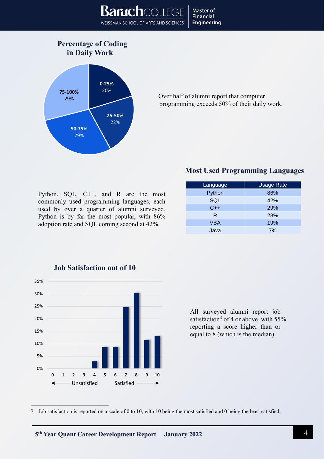

#### **Percentage of Coding in Daily Work**



Over half of alumni report that computer programming exceeds 50% of their daily work.

#### **Most Used Programming Languages**

| Python, $SQL$ , $C++$ , and R are the most  |  |  |  |  |  |  |
|---------------------------------------------|--|--|--|--|--|--|
| commonly used programming languages, each   |  |  |  |  |  |  |
| used by over a quarter of alumni surveyed.  |  |  |  |  |  |  |
| Python is by far the most popular, with 86% |  |  |  |  |  |  |
| adoption rate and SQL coming second at 42%. |  |  |  |  |  |  |

| Language   | <b>Usage Rate</b> |  |  |
|------------|-------------------|--|--|
| Python     | 86%               |  |  |
| SQL        | 42%               |  |  |
| $C++$      | 29%               |  |  |
| R.         | 28%               |  |  |
| <b>VBA</b> | 19%               |  |  |
| Java       | 7%                |  |  |



#### **Job Satisfaction out of 10**

All surveyed alumni report job satisfaction<sup>3</sup> of 4 or above, with  $55%$ reporting a score higher than or equal to 8 (which is the median).

<sup>3</sup> Job satisfaction is reported on a scale of 0 to 10, with 10 being the most satisfied and 0 being the least satisfied.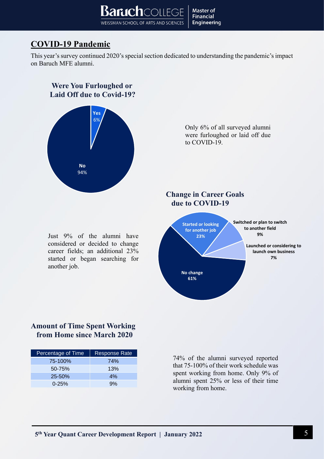## <span id="page-5-0"></span>**COVID-19 Pandemic**

This year's survey continued 2020's special section dedicated to understanding the pandemic's impact on Baruch MFE alumni.



#### **Amount of Time Spent Working from Home since March 2020**

| Percentage of Time | <b>Response Rate</b> |
|--------------------|----------------------|
| 75-100%            | 74%                  |
| 50-75%             | 13%                  |
| $25 - 50%$         | 4%                   |
| $0 - 25%$          | 9%                   |

74% of the alumni surveyed reported that 75-100% of their work schedule was spent working from home. Only 9% of alumni spent 25% or less of their time working from home.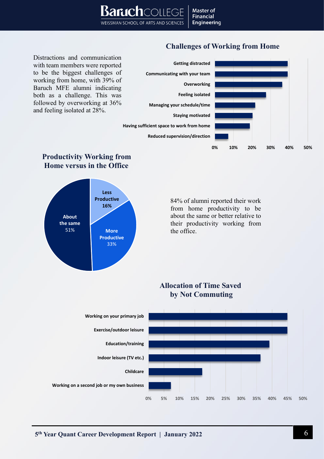#### **Challenges of Working from Home**

Distractions and communication with team members were reported to be the biggest challenges of working from home, with 39% of Baruch MFE alumni indicating both as a challenge. This was followed by overworking at 36% and feeling isolated at 28%.

 **Productivity Working from Home versus in the Office**



## 84% of alumni reported their work from home productivity to be about the same or better relative to their productivity working from the office. **Allocation of Time Saved by Not Commuting 0% 5% 10% 15% 20% 25% 30% 35% 40% 45% 50% Working on a second job or my own business Childcare Indoor leisure (TV etc.) Education/training Exercise/outdoor leisure Working on your primary job Less Productive 16% More Productive** 33% **About the same** 51%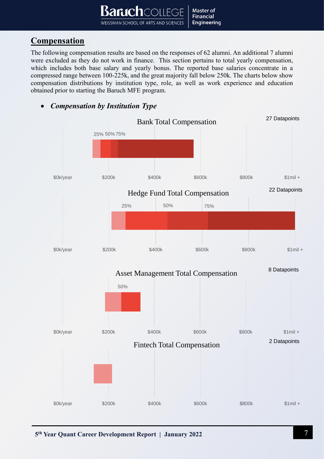## <span id="page-7-0"></span>**Compensation**

The following compensation results are based on the responses of 62 alumni. An additional 7 alumni were excluded as they do not work in finance. This section pertains to total yearly compensation, which includes both base salary and yearly bonus. The reported base salaries concentrate in a compressed range between 100-225k, and the great majority fall below 250k. The charts below show compensation distributions by institution type, role, as well as work experience and education obtained prior to starting the Baruch MFE program.

<span id="page-7-1"></span>• *Compensation by Institution Type* 

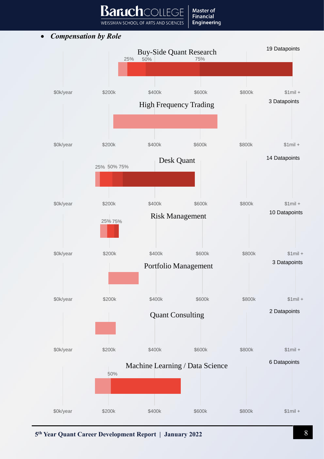WEISSMAN SCHOOL OF ARTS AND SCIENCES

 $\bigcirc$ 

**Master of Financial Engineering** 

Banıch

<span id="page-8-0"></span>• *Compensation by Role*

![](_page_8_Figure_2.jpeg)

**5 th Year Quant Career Development Report | January 2022** 8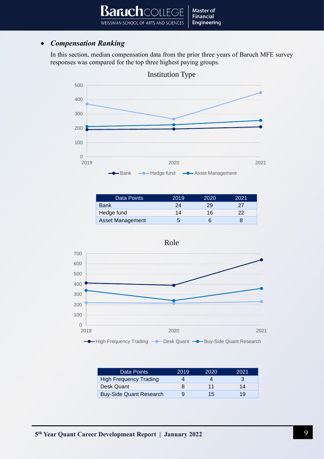#### <span id="page-9-0"></span>• *Compensation Ranking*

In this section, median compensation data from the prior three years of Baruch MFE survey responses was compared for the top three highest paying groups.

![](_page_9_Figure_3.jpeg)

Institution Type

| 2019 | 2020 | 2021 |
|------|------|------|
| 24   | 29   | 27   |
| 14   | 16   | 22   |
| b    |      |      |
|      |      |      |

![](_page_9_Figure_6.jpeg)

Data Points 2019 2020 2021 High Frequency Trading 4 4 4 3 Desk Quant 8 11 14 Buy-Side Quant Research 9 15 19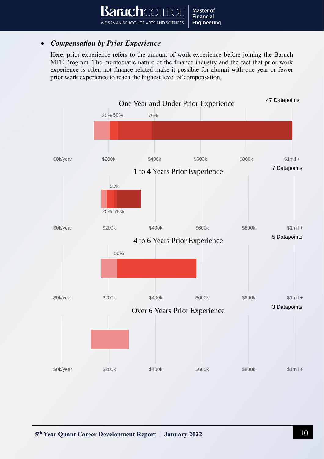#### <span id="page-10-0"></span>• *Compensation by Prior Experience*

Here, prior experience refers to the amount of work experience before joining the Baruch MFE Program. The meritocratic nature of the finance industry and the fact that prior work experience is often not finance-related make it possible for alumni with one year or fewer prior work experience to reach the highest level of compensation.

![](_page_10_Figure_3.jpeg)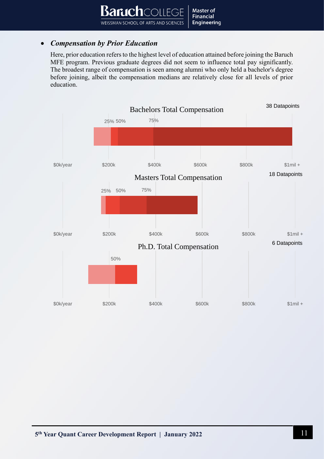#### <span id="page-11-0"></span>• *Compensation by Prior Education*

Here, prior education refers to the highest level of education attained before joining the Baruch MFE program. Previous graduate degrees did not seem to influence total pay significantly. The broadest range of compensation is seen among alumni who only held a bachelor's degree before joining, albeit the compensation medians are relatively close for all levels of prior education.

![](_page_11_Figure_3.jpeg)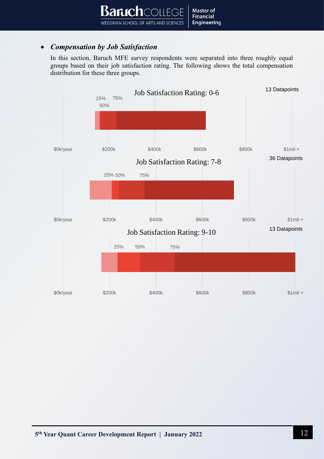#### <span id="page-12-0"></span>• *Compensation by Job Satisfaction*

In this section, Baruch MFE survey respondents were separated into three roughly equal groups based on their job satisfaction rating. The following shows the total compensation distribution for these three groups.

![](_page_12_Figure_3.jpeg)